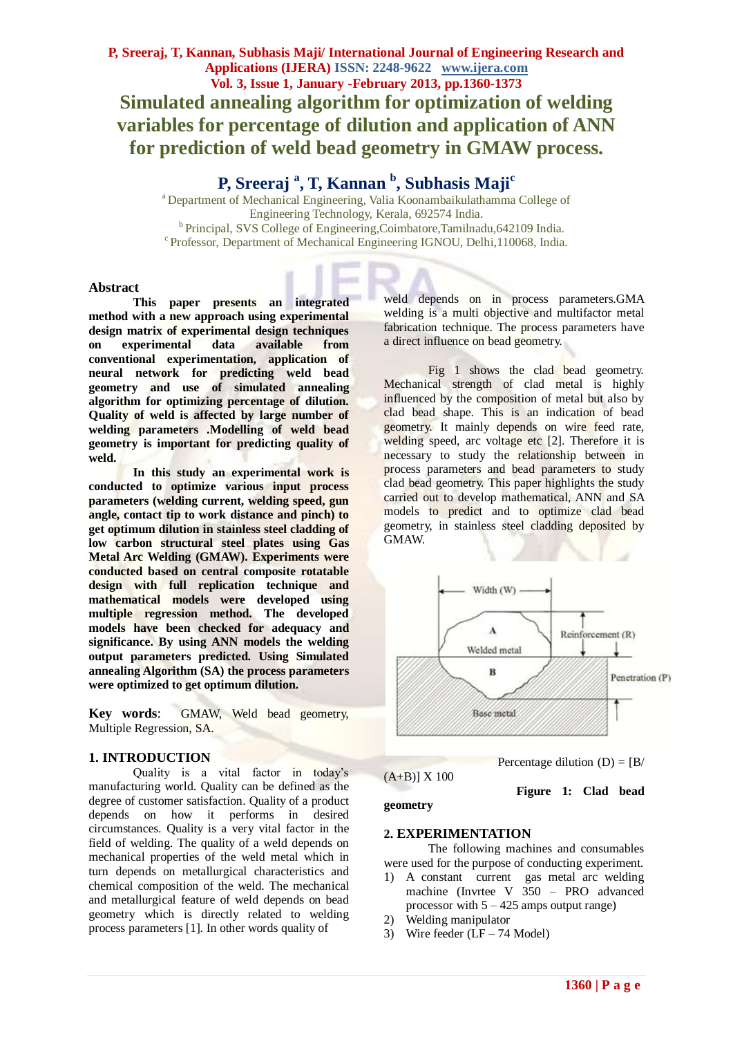## **P, Sreeraj <sup>a</sup> , T, Kannan <sup>b</sup> , Subhasis Maji<sup>c</sup>**

<sup>a</sup> Department of Mechanical Engineering, Valia Koonambaikulathamma College of Engineering Technology, Kerala, 692574 India. <sup>b</sup> Principal, SVS College of Engineering, Coimbatore, Tamilnadu, 642109 India. c Professor, Department of Mechanical Engineering IGNOU, Delhi,110068, India.

#### **Abstract**

**This paper presents an integrated method with a new approach using experimental design matrix of experimental design techniques on experimental data available from conventional experimentation, application of neural network for predicting weld bead geometry and use of simulated annealing algorithm for optimizing percentage of dilution. Quality of weld is affected by large number of welding parameters .Modelling of weld bead geometry is important for predicting quality of weld.**

**In this study an experimental work is conducted to optimize various input process parameters (welding current, welding speed, gun angle, contact tip to work distance and pinch) to get optimum dilution in stainless steel cladding of low carbon structural steel plates using Gas Metal Arc Welding (GMAW). Experiments were conducted based on central composite rotatable design with full replication technique and mathematical models were developed using multiple regression method. The developed models have been checked for adequacy and significance. By using ANN models the welding output parameters predicted. Using Simulated annealing Algorithm (SA) the process parameters were optimized to get optimum dilution.**

**Key words**: GMAW, Weld bead geometry, Multiple Regression, SA.

#### **1. INTRODUCTION**

Quality is a vital factor in today's manufacturing world. Quality can be defined as the degree of customer satisfaction. Quality of a product depends on how it performs in desired circumstances. Quality is a very vital factor in the field of welding. The quality of a weld depends on mechanical properties of the weld metal which in turn depends on metallurgical characteristics and chemical composition of the weld. The mechanical and metallurgical feature of weld depends on bead geometry which is directly related to welding process parameters [1]. In other words quality of

weld depends on in process parameters.GMA welding is a multi objective and multifactor metal fabrication technique. The process parameters have a direct influence on bead geometry.

Fig 1 shows the clad bead geometry. Mechanical strength of clad metal is highly influenced by the composition of metal but also by clad bead shape. This is an indication of bead geometry. It mainly depends on wire feed rate, welding speed, arc voltage etc [2]. Therefore it is necessary to study the relationship between in process parameters and bead parameters to study clad bead geometry. This paper highlights the study carried out to develop mathematical, ANN and SA models to predict and to optimize clad bead geometry, in stainless steel cladding deposited by GMAW.



# $(A+B)$ ] X 100

Percentage dilution  $(D) = [B]$ 

 **Figure 1: Clad bead** 

**geometry**

#### **2. EXPERIMENTATION**

The following machines and consumables were used for the purpose of conducting experiment.

- 1) A constant current gas metal arc welding machine (Invrtee V 350 – PRO advanced processor with  $5 - 425$  amps output range)
- 2) Welding manipulator
- 3) Wire feeder (LF 74 Model)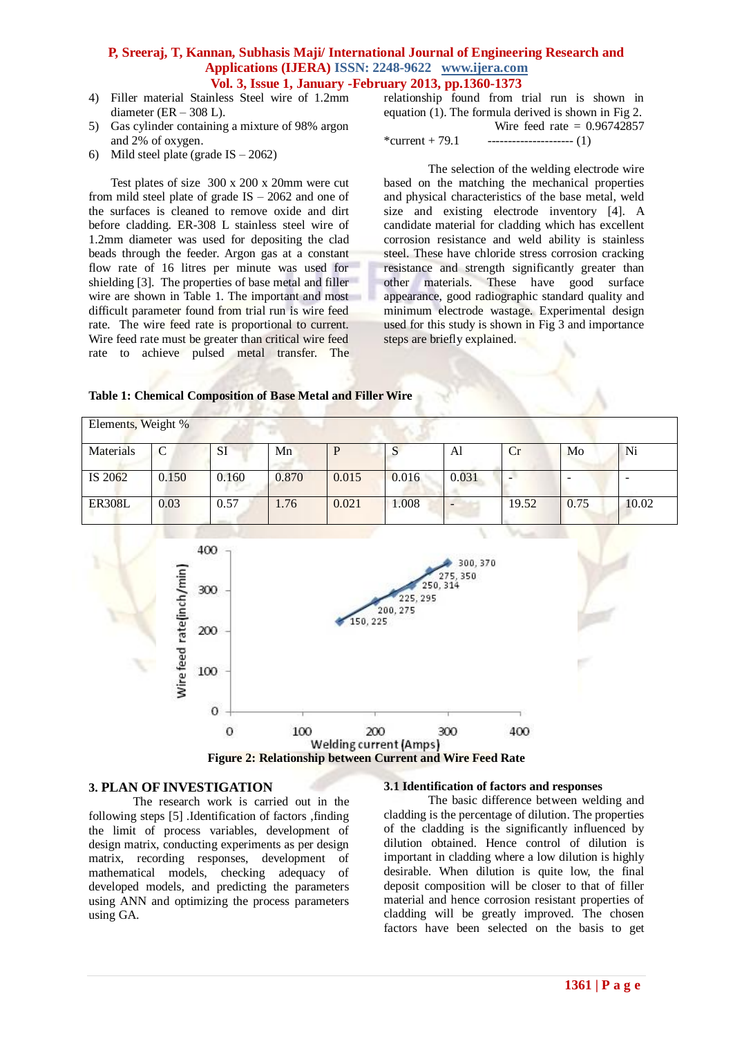- 4) Filler material Stainless Steel wire of 1.2mm diameter ( $ER - 308$  L).
- 5) Gas cylinder containing a mixture of 98% argon and 2% of oxygen.
- 6) Mild steel plate (grade  $IS 2062$ )

Test plates of size 300 x 200 x 20mm were cut from mild steel plate of grade IS – 2062 and one of the surfaces is cleaned to remove oxide and dirt before cladding. ER-308 L stainless steel wire of 1.2mm diameter was used for depositing the clad beads through the feeder. Argon gas at a constant flow rate of 16 litres per minute was used for shielding [3]. The properties of base metal and filler wire are shown in Table 1. The important and most difficult parameter found from trial run is wire feed rate. The wire feed rate is proportional to current. Wire feed rate must be greater than critical wire feed rate to achieve pulsed metal transfer. The

relationship found from trial run is shown in equation (1). The formula derived is shown in Fig 2. Wire feed rate  $= 0.96742857$ 

\*current + 79.1  $\qquad \qquad$  ------------------------ (1)

The selection of the welding electrode wire based on the matching the mechanical properties and physical characteristics of the base metal, weld size and existing electrode inventory [4]. A candidate material for cladding which has excellent corrosion resistance and weld ability is stainless steel. These have chloride stress corrosion cracking resistance and strength significantly greater than other materials. These have good surface appearance, good radiographic standard quality and minimum electrode wastage. Experimental design used for this study is shown in Fig 3 and importance steps are briefly explained.

| Table 1: Chemical Composition of Base Metal and Filler Wire |  |
|-------------------------------------------------------------|--|
|-------------------------------------------------------------|--|

| Elements, Weight % |               |           |       |       |       |       |       |      |       |
|--------------------|---------------|-----------|-------|-------|-------|-------|-------|------|-------|
| Materials          | $\mathcal{C}$ | <b>SI</b> | Mn    |       | S     | Al    | Cr    | Mo   | Ni    |
| IS 2062            | 0.150         | 0.160     | 0.870 | 0.015 | 0.016 | 0.031 |       |      |       |
| <b>ER308L</b>      | 0.03          | 0.57      | 1.76  | 0.021 | 1.008 |       | 19.52 | 0.75 | 10.02 |



#### **3. PLAN OF INVESTIGATION**

The research work is carried out in the following steps [5] .Identification of factors ,finding the limit of process variables, development of design matrix, conducting experiments as per design matrix, recording responses, development of mathematical models, checking adequacy of developed models, and predicting the parameters using ANN and optimizing the process parameters using GA.

#### **3.1 Identification of factors and responses**

The basic difference between welding and cladding is the percentage of dilution. The properties of the cladding is the significantly influenced by dilution obtained. Hence control of dilution is important in cladding where a low dilution is highly desirable. When dilution is quite low, the final deposit composition will be closer to that of filler material and hence corrosion resistant properties of cladding will be greatly improved. The chosen factors have been selected on the basis to get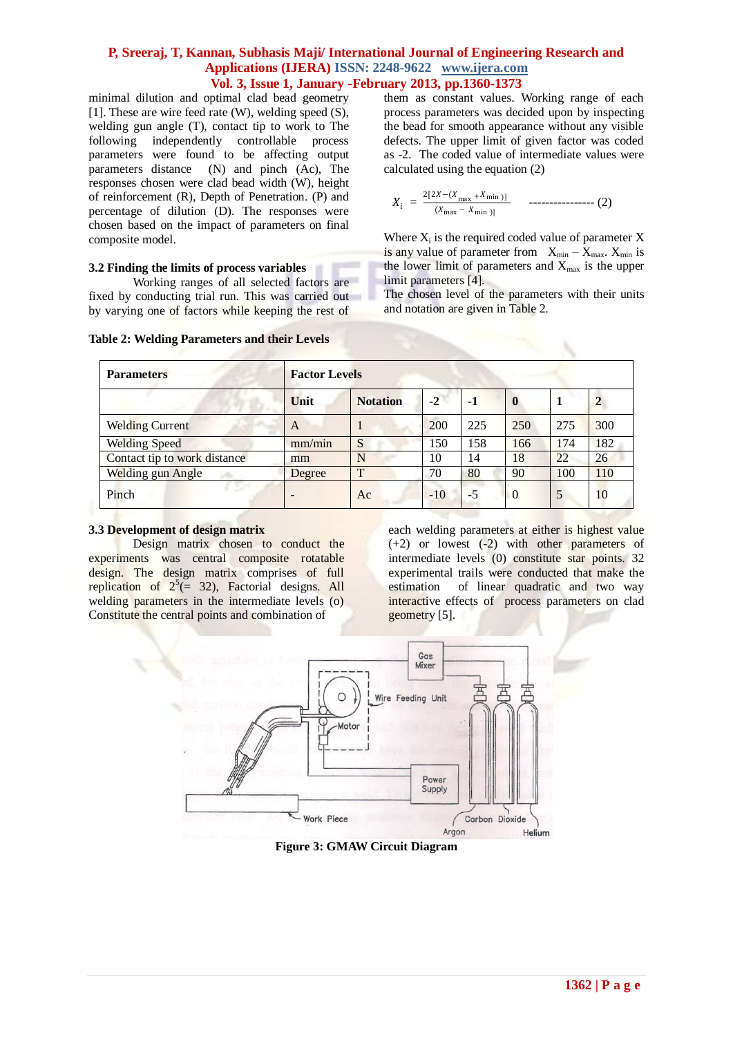minimal dilution and optimal clad bead geometry [1]. These are wire feed rate (W), welding speed (S), welding gun angle (T), contact tip to work to The following independently controllable process parameters were found to be affecting output parameters distance (N) and pinch (Ac), The responses chosen were clad bead width (W), height of reinforcement (R), Depth of Penetration. (P) and percentage of dilution (D). The responses were chosen based on the impact of parameters on final composite model.

#### **3.2 Finding the limits of process variables**

Working ranges of all selected factors are fixed by conducting trial run. This was carried out by varying one of factors while keeping the rest of

them as constant values. Working range of each process parameters was decided upon by inspecting the bead for smooth appearance without any visible defects. The upper limit of given factor was coded as -2. The coded value of intermediate values were calculated using the equation (2)

$$
X_i = \frac{2[2X - (X_{\text{max}} + X_{\text{min}})]}{(X_{\text{max}} - X_{\text{min}})]} \qquad \text{-----}
$$
 (2)

Where  $X_i$  is the required coded value of parameter  $X$ is any value of parameter from  $X_{min} - X_{max}$ .  $X_{min}$  is the lower limit of parameters and  $X_{\text{max}}$  is the upper limit parameters [4].

The chosen level of the parameters with their units and notation are given in Table 2.

| <b>Parameters</b>            | <b>Factor Levels</b> |                 |       |      |             |     |              |  |  |
|------------------------------|----------------------|-----------------|-------|------|-------------|-----|--------------|--|--|
|                              | Unit                 | <b>Notation</b> | $-2$  | $-1$ | $\mathbf 0$ |     | $\mathbf{2}$ |  |  |
| <b>Welding Current</b>       | A                    |                 | 200   | 225  | 250         | 275 | 300          |  |  |
| <b>Welding Speed</b>         | mm/min               | S               | 50ء   | 158  | 166         | 174 | 182          |  |  |
| Contact tip to work distance | mm                   | N               | 10    | 14   | 18          | 22  | 26           |  |  |
| Welding gun Angle            | Degree               | T               | 70    | 80   | 90          | 100 | 110          |  |  |
| Pinch                        |                      | Ac              | $-10$ | $-5$ | $\theta$    | 5   | 10           |  |  |

#### **Table 2: Welding Parameters and their Levels**

#### **3.3 Development of design matrix**

Design matrix chosen to conduct the experiments was central composite rotatable design. The design matrix comprises of full replication of  $2^5 (= 32)$ , Factorial designs. All welding parameters in the intermediate levels (o) Constitute the central points and combination of

each welding parameters at either is highest value (+2) or lowest (-2) with other parameters of intermediate levels (0) constitute star points. 32 experimental trails were conducted that make the estimation of linear quadratic and two way interactive effects of process parameters on clad geometry [5].



**Figure 3: GMAW Circuit Diagram**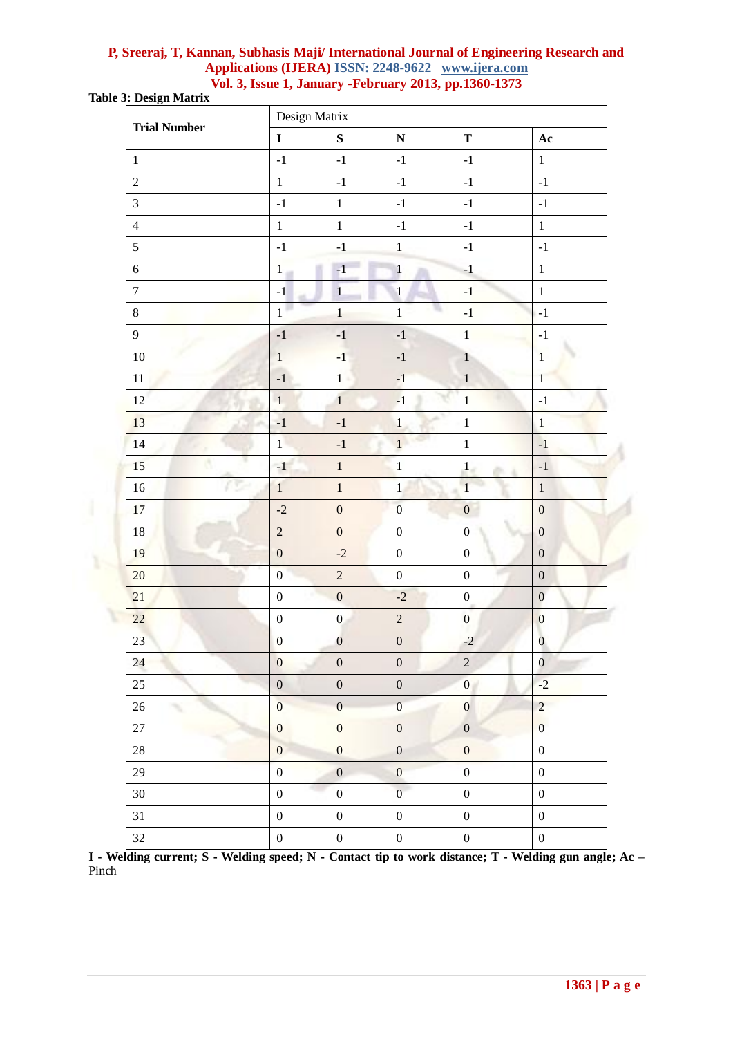**Table 3: Design Matrix**

U

| <b>Trial Number</b> |                  | Design Matrix    |                  |                  |                  |  |  |  |  |  |
|---------------------|------------------|------------------|------------------|------------------|------------------|--|--|--|--|--|
|                     | $\mathbf I$      | ${\bf S}$        | ${\bf N}$        | $\mathbf T$      | Ac               |  |  |  |  |  |
| $1\,$               | $^{\rm -1}$      | $^{\rm -1}$      | $^{\rm -1}$      | $^{\rm -1}$      | $\mathbf{1}$     |  |  |  |  |  |
| $\sqrt{2}$          | $\,1\,$          | $^{\rm -1}$      | $^{\rm -1}$      | $^{\rm -1}$      | $^{\rm -1}$      |  |  |  |  |  |
| $\mathfrak{Z}$      | $^{\rm -1}$      | $\mathbf 1$      | $^{\rm -1}$      | $^{\rm -1}$      | $^{\rm -1}$      |  |  |  |  |  |
| $\overline{4}$      | $\mathbf{1}$     | $1\,$            | $^{\rm -1}$      | $^{\rm -1}$      | $1\,$            |  |  |  |  |  |
| 5                   | $^{\rm -1}$      | $^{\rm -1}$      | $1\,$            | $^{\rm -1}$      | $^{\rm -1}$      |  |  |  |  |  |
| $\boldsymbol{6}$    | $\mathbf 1$      | $-1$             | $\mathbf{1}$     | $-1$             | $1\,$            |  |  |  |  |  |
| $\overline{7}$      | $-1$             | $\,1\,$          | $\overline{1}$   | $^{\rm -1}$      | $\,1\,$          |  |  |  |  |  |
| $8\,$               | $\mathbf{1}$     | $\mathbf{1}$     | $\mathbf{1}$     | $^{\rm -1}$      | $-1$             |  |  |  |  |  |
| $\overline{9}$      | $-1$             | $^{\rm -1}$      | $^{\rm -1}$      | $\mathbf{1}$     | $-1$             |  |  |  |  |  |
| $10\,$              | $\mathbf{1}$     | $-1$             | $^{\rm -1}$      | $1\,$            | $\overline{1}$   |  |  |  |  |  |
| $11\,$              | $-1$             | $1 -$            | $^{\rm -1}$      | $\,1\,$          | $\mathbf{1}$     |  |  |  |  |  |
| 12                  | $\mathbf{1}$     | $\mathbf{1}$     | $-1$             | $\mathbf{1}$     | $^{\rm -1}$      |  |  |  |  |  |
| 13                  | $-1$             | $^{\rm -1}$      | $\,1\,$          | $\mathbf 1$      | $1\,$            |  |  |  |  |  |
| 14                  | $\mathbf{1}$     | $^{\rm -1}$      | $\mathbf{1}$     | $\mathbf 1$      | $-1$             |  |  |  |  |  |
| 15                  | $^{\rm -1}$      | $\,1\,$          | $\mathbf{1}$     | $\mathbf{1}$     | $^{\rm -1}$      |  |  |  |  |  |
| 16                  | $\mathbf 1$      | $\,1\,$          | $\mathbf{1}$     | $\mathbf{1}$     | $\,1$            |  |  |  |  |  |
| 17                  | $-2$             | $\boldsymbol{0}$ | $\overline{0}$   | $\boldsymbol{0}$ | $\boldsymbol{0}$ |  |  |  |  |  |
| $18\,$              | $\overline{c}$   | $\boldsymbol{0}$ | $\boldsymbol{0}$ | $\boldsymbol{0}$ | $\boldsymbol{0}$ |  |  |  |  |  |
| 19                  | $\boldsymbol{0}$ | $-2$             | $\boldsymbol{0}$ | $\boldsymbol{0}$ | $\boldsymbol{0}$ |  |  |  |  |  |
| 20                  | $\overline{0}$   | $\overline{2}$   | $\boldsymbol{0}$ | $\boldsymbol{0}$ | $\boldsymbol{0}$ |  |  |  |  |  |
| 21                  | $\boldsymbol{0}$ | $\boldsymbol{0}$ | $-2$             | $\boldsymbol{0}$ | $\boldsymbol{0}$ |  |  |  |  |  |
| 22                  | $\boldsymbol{0}$ | $\mathbf{0}$     | $\overline{c}$   | $\boldsymbol{0}$ | $\boldsymbol{0}$ |  |  |  |  |  |
| 23                  | $\boldsymbol{0}$ | $\boldsymbol{0}$ | $\boldsymbol{0}$ | $-2$             | $\bf{0}$         |  |  |  |  |  |
| 24                  | $\boldsymbol{0}$ | $\boldsymbol{0}$ | $\boldsymbol{0}$ | $\overline{c}$   | $\boldsymbol{0}$ |  |  |  |  |  |
| 25                  | $\boldsymbol{0}$ | $\boldsymbol{0}$ | $\boldsymbol{0}$ | $\overline{0}$   | $-2$             |  |  |  |  |  |
| 26                  | $\boldsymbol{0}$ | $\boldsymbol{0}$ | $\boldsymbol{0}$ | $\boldsymbol{0}$ | $\overline{2}$   |  |  |  |  |  |
| 27                  | $\boldsymbol{0}$ | $\boldsymbol{0}$ | $\boldsymbol{0}$ | $\boldsymbol{0}$ | $\overline{0}$   |  |  |  |  |  |
| 28                  | $\mathbf{0}$     | $\boldsymbol{0}$ | $\boldsymbol{0}$ | $\boldsymbol{0}$ | $\boldsymbol{0}$ |  |  |  |  |  |
| $29\,$              | $\boldsymbol{0}$ | $\boldsymbol{0}$ | $\boldsymbol{0}$ | $\boldsymbol{0}$ | $\boldsymbol{0}$ |  |  |  |  |  |
| 30                  | $\boldsymbol{0}$ | $\boldsymbol{0}$ | $\overline{0}$   | $\boldsymbol{0}$ | $\boldsymbol{0}$ |  |  |  |  |  |
| 31                  | $\boldsymbol{0}$ | $\boldsymbol{0}$ | $\boldsymbol{0}$ | $\boldsymbol{0}$ | $\boldsymbol{0}$ |  |  |  |  |  |
| $32\,$              | $\boldsymbol{0}$ | $\boldsymbol{0}$ | $\boldsymbol{0}$ | $\boldsymbol{0}$ | $\boldsymbol{0}$ |  |  |  |  |  |

**I - Welding current; S - Welding speed; N - Contact tip to work distance; T - Welding gun angle; Ac –** Pinch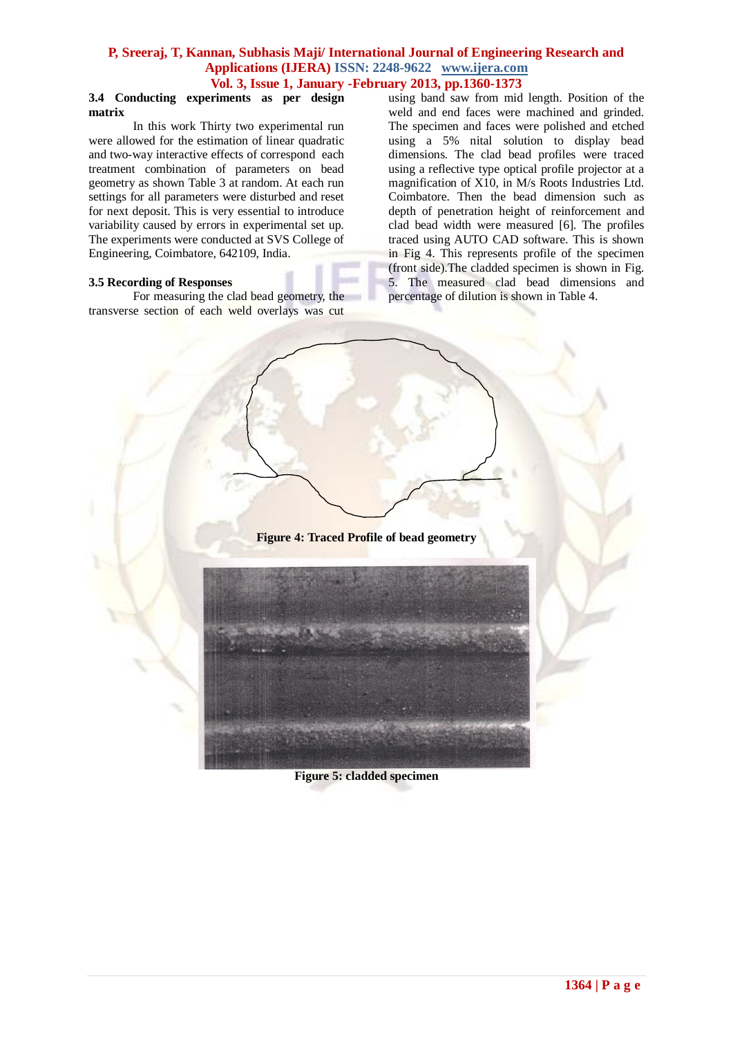#### **3.4 Conducting experiments as per design matrix**

In this work Thirty two experimental run were allowed for the estimation of linear quadratic and two-way interactive effects of correspond each treatment combination of parameters on bead geometry as shown Table 3 at random. At each run settings for all parameters were disturbed and reset for next deposit. This is very essential to introduce variability caused by errors in experimental set up. The experiments were conducted at SVS College of Engineering, Coimbatore, 642109, India.

#### **3.5 Recording of Responses**

For measuring the clad bead geometry, the transverse section of each weld overlays was cut

using band saw from mid length. Position of the weld and end faces were machined and grinded. The specimen and faces were polished and etched using a 5% nital solution to display bead dimensions. The clad bead profiles were traced using a reflective type optical profile projector at a magnification of X10, in M/s Roots Industries Ltd. Coimbatore. Then the bead dimension such as depth of penetration height of reinforcement and clad bead width were measured [6]. The profiles traced using AUTO CAD software. This is shown in Fig 4. This represents profile of the specimen (front side).The cladded specimen is shown in Fig. 5. The measured clad bead dimensions and percentage of dilution is shown in Table 4.

**Figure 4: Traced Profile of bead geometry**



**Figure 5: cladded specimen**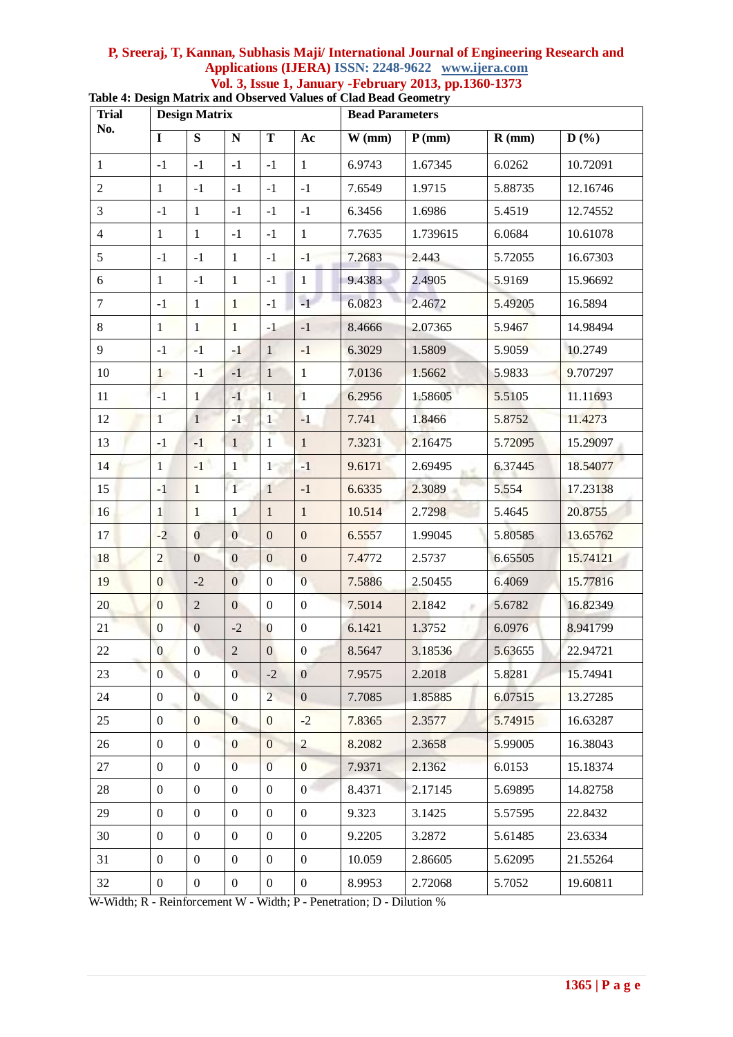| <b>Trial</b>   |                  | <b>Design Matrix</b> |                  |                  |                  | <b>Bead Parameters</b> |             |          |          |  |
|----------------|------------------|----------------------|------------------|------------------|------------------|------------------------|-------------|----------|----------|--|
| No.            | $\mathbf I$      | ${\bf S}$            | ${\bf N}$        | T                | Ac               | $W$ (mm)               | $P$ (mm)    | $R$ (mm) | D(%)     |  |
| $\mathbf{1}$   | $-1$             | $-1$                 | $-1$             | $^{\rm -1}$      | $\mathbf{1}$     | 6.9743                 | 1.67345     | 6.0262   | 10.72091 |  |
| $\overline{2}$ | $\mathbf{1}$     | $-1$                 | $-1$             | $-1$             | $-1$             | 7.6549                 | 1.9715      | 5.88735  | 12.16746 |  |
| $\overline{3}$ | $-1$             | $\mathbf{1}$         | $-1$             | $-1$             | $-1$             | 6.3456                 | 1.6986      | 5.4519   | 12.74552 |  |
| $\overline{4}$ | $\mathbf{1}$     | $\mathbf{1}$         | $-1$             | $-1$             | $\mathbf{1}$     | 7.7635                 | 1.739615    | 6.0684   | 10.61078 |  |
| 5              | $-1$             | $-1$                 | $\mathbf{1}$     | $-1$             | $-1$             | 7.2683                 | 2.443       | 5.72055  | 16.67303 |  |
| 6              | $\mathbf{1}$     | $-1$                 | $\mathbf{1}$     | $-1$             | $\mathbf{1}$     | 9.4383                 | 2.4905      | 5.9169   | 15.96692 |  |
| $\tau$         | $-1$             | $\mathbf{1}$         | $\mathbf{1}$     | $-1$             | $-1$             | 6.0823                 | 2.4672      | 5.49205  | 16.5894  |  |
| $8\phantom{.}$ | $\mathbf{1}$     | $\mathbf{1}$         | $\mathbf{1}$     | $-1$             | $^{\rm -1}$      | 8.4666                 | 2.07365     | 5.9467   | 14.98494 |  |
| 9              | $-1$             | $-1$                 | $-1$             | $\mathbf{1}$     | $-1$             | 6.3029                 | 1.5809      | 5.9059   | 10.2749  |  |
| 10             | 1                | $-1$                 | $-1$             | $\mathbf{1}$     | $\mathbf{1}$     | 7.0136                 | 1.5662      | 5.9833   | 9.707297 |  |
| 11             | $-1$             | $\mathbf{1}$         | $-1$             | $\mathbf{1}$     | $\mathbf{1}$     | 6.2956                 | 1.58605     | 5.5105   | 11.11693 |  |
| 12             | $\mathbf{1}$     | $\mathbf{1}$         | $-1$             | $\overline{1}$   | $-1$             | 7.741                  | 1.8466      | 5.8752   | 11.4273  |  |
| 13             | $-1$             | $-1$                 | $\mathbf{1}$     | 1                | $\mathbf{1}$     | 7.3231                 | 2.16475     | 5.72095  | 15.29097 |  |
| 14             | $\mathbf{1}$     | $-1$                 | $\mathbf{1}$     | $\mathbf{1}$     | $-1$             | 9.6171                 | 2.69495     | 6.37445  | 18.54077 |  |
| 15             | $-1$             | $\mathbf{1}$         | 1 <sup>1</sup>   | $\mathbf{1}$     | $-1$             | 6.6335                 | 2.3089      | 5.554    | 17.23138 |  |
| 16             | $\mathbf{1}$     | $\mathbf{1}$         | $\mathbf{1}$     | $\mathbf{1}$     | $\mathbf{1}$     | 10.514                 | 2.7298      | 5.4645   | 20.8755  |  |
| 17             | $-2$             | $\overline{0}$       | $\overline{0}$   | $\mathbf{0}$     | $\overline{0}$   | 6.5557                 | 1.99045     | 5.80585  | 13.65762 |  |
| 18             | $\overline{2}$   | $\overline{0}$       | $\mathbf{0}$     | $\boldsymbol{0}$ | $\boldsymbol{0}$ | 7.4772                 | 2.5737      | 6.65505  | 15.74121 |  |
| 19             | $\mathbf{0}$     | $-2$                 | $\overline{0}$   | $\boldsymbol{0}$ | $\overline{0}$   | 7.5886                 | 2.50455     | 6.4069   | 15.77816 |  |
| 20             | $\overline{0}$   | $\overline{2}$       | $\boldsymbol{0}$ | $\boldsymbol{0}$ | $\boldsymbol{0}$ | 7.5014                 | 2.1842<br>× | 5.6782   | 16.82349 |  |
| 21             | $\boldsymbol{0}$ | $\boldsymbol{0}$     | $-2$             | $\mathbf{0}$     | $\boldsymbol{0}$ | 6.1421                 | 1.3752      | 6.0976   | 8.941799 |  |
| 22             | $\overline{0}$   | $\mathbf{0}$         | $\overline{2}$   | $\mathbf{0}$     | $\boldsymbol{0}$ | 8.5647                 | 3.18536     | 5.63655  | 22.94721 |  |
| 23             | $\overline{0}$   | $\mathbf{0}$         | $\overline{0}$   | $-2$             | $\boldsymbol{0}$ | 7.9575                 | 2.2018      | 5.8281   | 15.74941 |  |
| 24             | $\overline{0}$   | $\overline{0}$       | $\overline{0}$   | $\overline{2}$   | $\overline{0}$   | 7.7085                 | 1.85885     | 6.07515  | 13.27285 |  |
| 25             | $\mathbf{0}$     | $\mathbf{0}$         | $\overline{0}$   | $\mathbf{0}$     | $-2$             | 7.8365                 | 2.3577      | 5.74915  | 16.63287 |  |
| 26             | $\overline{0}$   | $\boldsymbol{0}$     | $\overline{0}$   | $\overline{0}$   | $\overline{2}$   | 8.2082                 | 2.3658      | 5.99005  | 16.38043 |  |
| 27             | $\mathbf{0}$     | $\boldsymbol{0}$     | $\overline{0}$   | $\mathbf{0}$     | $\boldsymbol{0}$ | 7.9371                 | 2.1362      | 6.0153   | 15.18374 |  |
| 28             | $\mathbf{0}$     | $\mathbf{0}$         | $\boldsymbol{0}$ | $\boldsymbol{0}$ | $\overline{0}$   | 8.4371                 | 2.17145     | 5.69895  | 14.82758 |  |
| 29             | $\mathbf{0}$     | $\boldsymbol{0}$     | $\boldsymbol{0}$ | $\boldsymbol{0}$ | $\boldsymbol{0}$ | 9.323                  | 3.1425      | 5.57595  | 22.8432  |  |
| 30             | $\mathbf{0}$     | $\mathbf{0}$         | $\boldsymbol{0}$ | $\mathbf{0}$     | $\boldsymbol{0}$ | 9.2205                 | 3.2872      | 5.61485  | 23.6334  |  |
| 31             | $\mathbf{0}$     | $\boldsymbol{0}$     | $\boldsymbol{0}$ | $\boldsymbol{0}$ | $\boldsymbol{0}$ | 10.059                 | 2.86605     | 5.62095  | 21.55264 |  |
| 32             | $\mathbf{0}$     | $\overline{0}$       | $\boldsymbol{0}$ | $\mathbf{0}$     | $\boldsymbol{0}$ | 8.9953                 | 2.72068     | 5.7052   | 19.60811 |  |

**Table 4: Design Matrix and Observed Values of Clad Bead Geometry**

W-Width; R - Reinforcement W - Width; P - Penetration; D - Dilution %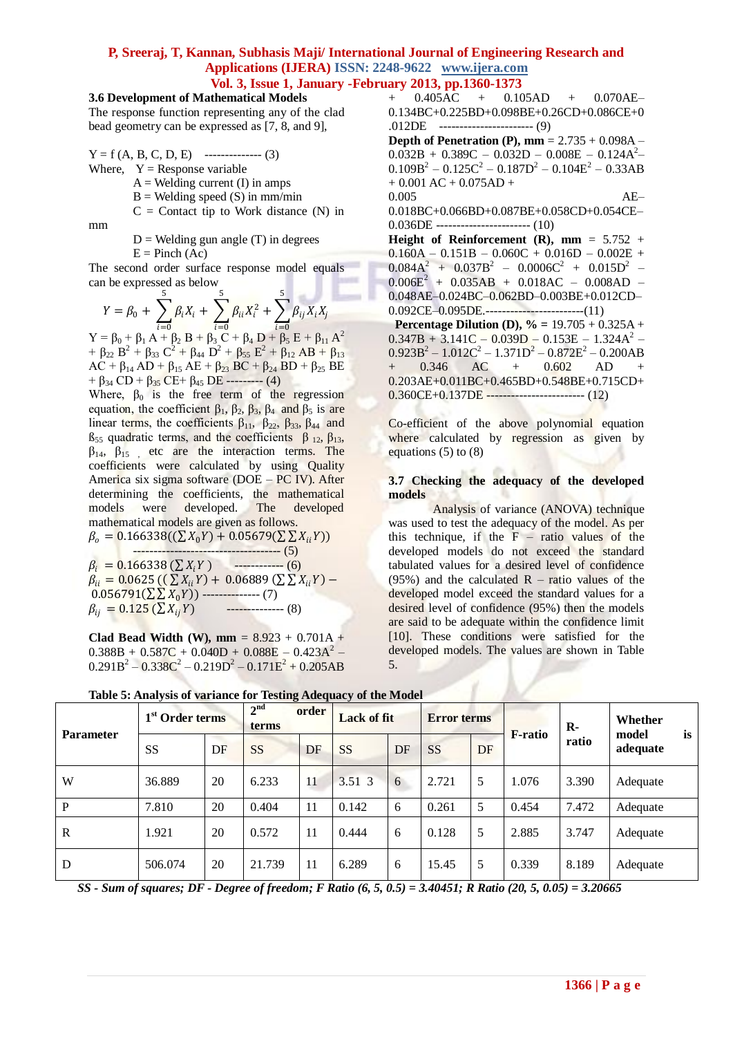### **3.6 Development of Mathematical Models**

The response function representing any of the clad bead geometry can be expressed as [7, 8, and 9],

 $Y = f (A, B, C, D, E)$  -------------- (3) Where,  $Y =$  Response variable

 $A =$  Welding current (I) in amps

- $B =$  Welding speed (S) in mm/min
- $C =$  Contact tip to Work distance (N) in

mm

 $D$  = Welding gun angle (T) in degrees  $E = Pinch (Ac)$ 

The second order surface response model equals can be expressed as below

$$
Y = \beta_0 + \sum_{i=0}^{5} \beta_i X_i + \sum_{i=0}^{5} \beta_{ii} X_i^2 + \sum_{i=0}^{5} \beta_{ij} X_i X_j
$$
  
=  $6_0 + 6_1 A + 6_2 B + 6_3 C + 6_4 D + 6_5 E + 6_{11} A$ 

 $Y = \beta_0 + \beta_1 A + \beta_2 B + \beta_3 C + \beta_4 D + \beta_5 E + \beta_{11} A$  $A^2$ +  $\beta_{22} B^2 + \beta_{33} C^2 + \beta_{44} D^2 + \beta_{55} E^2 + \beta_{12} AB + \beta_{13}$  $AC + \beta_{14} AD + \beta_{15} AE + \beta_{23} BC + \beta_{24} BD + \beta_{25} BE$  $+ \beta_{34}$  CD +  $\beta_{35}$  CE +  $\beta_{45}$  DE --------- (4)

Where,  $\beta_0$  is the free term of the regression equation, the coefficient  $β_1$ ,  $β_2$ ,  $β_3$ ,  $β_4$  and  $β_5$  is are linear terms, the coefficients  $\beta_{11}$ ,  $\beta_{22}$ ,  $\beta_{33}$ ,  $\beta_{44}$  and  $β<sub>55</sub>$  quadratic terms, and the coefficients  $β<sub>12</sub>, β<sub>13</sub>$ ,  $\beta_{14}$ ,  $\beta_{15}$  etc are the interaction terms. The coefficients were calculated by using Quality America six sigma software (DOE – PC IV). After determining the coefficients, the mathematical models were developed. The developed mathematical models are given as follows.  $\beta = 0.166338((\nabla y.\mathbf{v}) + 0.05679(\nabla \nabla \mathbf{v})$ 

$$
\rho_o = 0.166338(\sqrt{\Delta} \lambda_0 t) + 0.05679(\sqrt{\Delta} \lambda_{ii} t))
$$
\n
$$
\beta_i = 0.166338(\sum X_i Y) \qquad (6)
$$
\n
$$
\beta_{ii} = 0.0625((\sum X_{ii} Y) + 0.06889(\sum X_{ii} Y) - 0.056791(\sum \sum X_0 Y)) \qquad (7)
$$
\n
$$
\beta_{ij} = 0.125(\sum X_{ij} Y) \qquad (8)
$$

**Clad Bead Width (W), mm =**  $8.923 + 0.701A +$  $0.388B + 0.587C + 0.040D + 0.088E - 0.423A^2$  $0.291B^{2} - 0.338C^{2} - 0.219D^{2} - 0.171E^{2} + 0.205AB$  + 0.405AC + 0.105AD + 0.070AE– 0.134BC+0.225BD+0.098BE+0.26CD+0.086CE+0 .012DE ----------------------- (9) **Depth of Penetration (P), mm** = 2.735 + 0.098A –  $0.032B + 0.389C - 0.032D - 0.008E - 0.124A^2$  $0.109B^2 - 0.125C^2 - 0.187D^2 - 0.104E^2 - 0.33AB$  $+ 0.001$  AC  $+ 0.075$ AD  $+$ 0.005 AE– 0.018BC+0.066BD+0.087BE+0.058CD+0.054CE– 0.036DE ----------------------- (10) **Height of Reinforcement (R), mm =**  $5.752 +$  $0.160A - 0.151B - 0.060C + 0.016D - 0.002E +$  $0.084A^2 + 0.037B^2 - 0.0006C^2 + 0.015D^2$  - $0.006E<sup>2</sup> + 0.035AB + 0.018AC - 0.008AD -$ 0.048AE–0.024BC–0.062BD–0.003BE+0.012CD– 0.092CE-0.095DE.--------------------------(11) **Percentage Dilution (D),**  $\% = 19.705 + 0.325A +$  $0.347B + 3.141C - 0.039D - 0.153E - 1.324A^2$  $0.923B^{2} - 1.012C^{2} - 1.371D^{2} - 0.872E^{2} - 0.200AB$ + 0.346 AC + 0.602 AD + 0.203AE+0.011BC+0.465BD+0.548BE+0.715CD+ 0.360CE+0.137DE ------------------------ (12)

Co-efficient of the above polynomial equation where calculated by regression as given by equations (5) to (8)

#### **3.7 Checking the adequacy of the developed models**

Analysis of variance (ANOVA) technique was used to test the adequacy of the model. As per this technique, if the  $F - ratio$  values of the developed models do not exceed the standard tabulated values for a desired level of confidence (95%) and the calculated  $R -$  ratio values of the developed model exceed the standard values for a desired level of confidence (95%) then the models are said to be adequate within the confidence limit [10]. These conditions were satisfied for the developed models. The values are shown in Table 5.

| <b>Parameter</b> | 1 <sup>st</sup> Order terms |    | 2 <sup>nd</sup><br>order<br>terms |    |           | <b>Lack of fit</b><br><b>Error terms</b> |           | <b>F-ratio</b> | $\mathbf{R}$ | Whether<br>is<br>model |          |
|------------------|-----------------------------|----|-----------------------------------|----|-----------|------------------------------------------|-----------|----------------|--------------|------------------------|----------|
|                  | <b>SS</b>                   | DF | <b>SS</b>                         | DF | <b>SS</b> | DF                                       | <b>SS</b> | DF             |              | ratio                  | adequate |
| W                | 36.889                      | 20 | 6.233                             | 11 | 3.51 3    | 6                                        | 2.721     | 5              | 1.076        | 3.390                  | Adequate |
| P                | 7.810                       | 20 | 0.404                             | 11 | 0.142     | 6                                        | 0.261     | 5              | 0.454        | 7.472                  | Adequate |
| R                | 1.921                       | 20 | 0.572                             | 11 | 0.444     | 6                                        | 0.128     | 5              | 2.885        | 3.747                  | Adequate |
| D                | 506.074                     | 20 | 21.739                            | 11 | 6.289     | 6                                        | 15.45     | 5              | 0.339        | 8.189                  | Adequate |

**Table 5: Analysis of variance for Testing Adequacy of the Model**

*SS - Sum of squares; DF - Degree of freedom; F Ratio (6, 5, 0.5) = 3.40451; R Ratio (20, 5, 0.05) = 3.20665*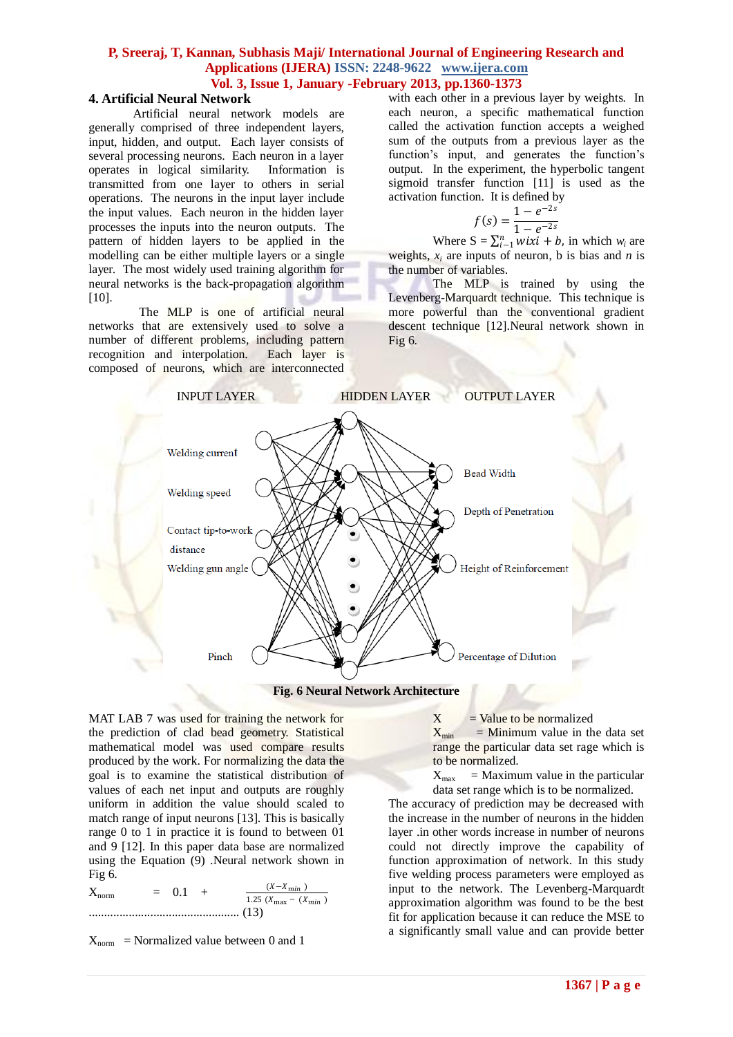#### **4. Artificial Neural Network**

Artificial neural network models are generally comprised of three independent layers, input, hidden, and output. Each layer consists of several processing neurons. Each neuron in a layer operates in logical similarity. Information is transmitted from one layer to others in serial operations. The neurons in the input layer include the input values. Each neuron in the hidden layer processes the inputs into the neuron outputs. The pattern of hidden layers to be applied in the modelling can be either multiple layers or a single layer. The most widely used training algorithm for neural networks is the back-propagation algorithm [10].

The MLP is one of artificial neural networks that are extensively used to solve a number of different problems, including pattern recognition and interpolation. Each layer is composed of neurons, which are interconnected with each other in a previous layer by weights. In each neuron, a specific mathematical function called the activation function accepts a weighed sum of the outputs from a previous layer as the function's input, and generates the function's output. In the experiment, the hyperbolic tangent sigmoid transfer function [11] is used as the activation function. It is defined by

$$
f(s) = \frac{1 - e^{-2s}}{1 - e^{-2s}}
$$

Where  $S = \sum_{i=1}^{n} wix_i + b$ , in which  $w_i$  are weights,  $x_i$  are inputs of neuron, b is bias and *n* is the number of variables.

The MLP is trained by using the Levenberg-Marquardt technique. This technique is more powerful than the conventional gradient descent technique [12].Neural network shown in Fig  $6$ .



**Fig. 6 Neural Network Architecture**

MAT LAB 7 was used for training the network for the prediction of clad bead geometry. Statistical mathematical model was used compare results produced by the work. For normalizing the data the goal is to examine the statistical distribution of values of each net input and outputs are roughly uniform in addition the value should scaled to match range of input neurons [13]. This is basically range 0 to 1 in practice it is found to between 01 and 9 [12]. In this paper data base are normalized using the Equation (9) .Neural network shown in Fig 6.

 $X_{\text{norm}} = 0.1 + \frac{(X - X_{\text{min}})}{1.25 (X - X_{\text{min}})}$ 1.25 ( $X_{\text{max}} - (X_{\text{min}})$ ................................................. (13)

 $X_{norm}$  = Normalized value between 0 and 1

 $X = Value to be normalized  
\n $X_{min} = Minimum value in the$$  $=$  Minimum value in the data set range the particular data set rage which is to be normalized.

 $X_{\text{max}}$  = Maximum value in the particular data set range which is to be normalized.

The accuracy of prediction may be decreased with the increase in the number of neurons in the hidden layer .in other words increase in number of neurons could not directly improve the capability of function approximation of network. In this study five welding process parameters were employed as input to the network. The Levenberg-Marquardt approximation algorithm was found to be the best fit for application because it can reduce the MSE to a significantly small value and can provide better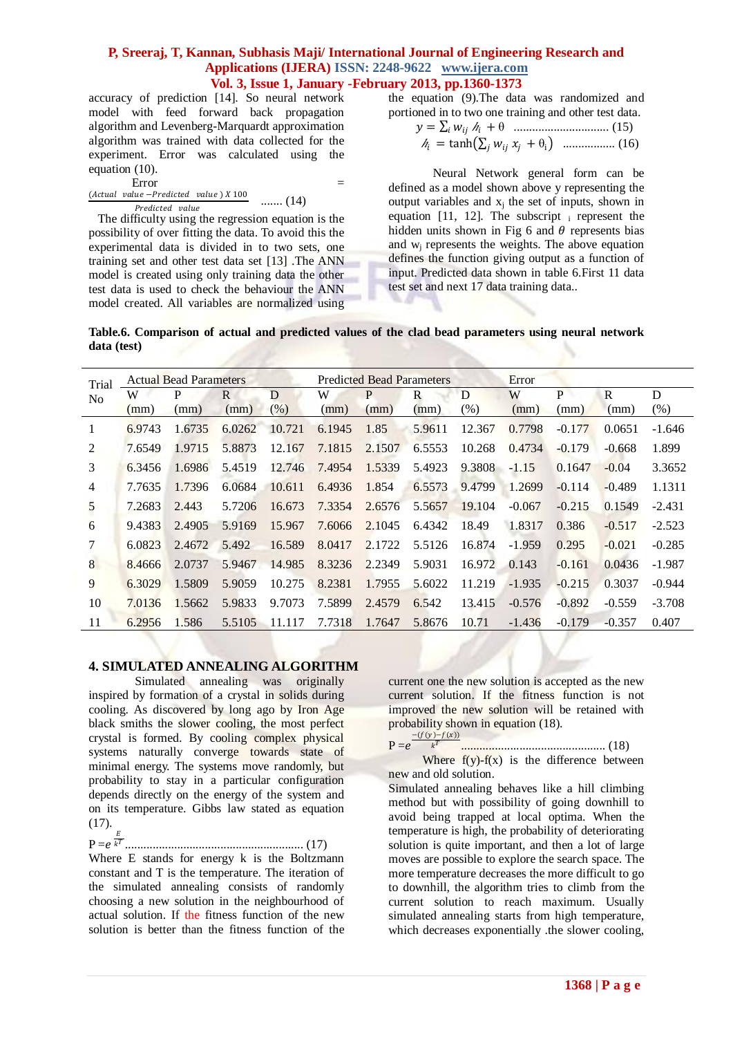accuracy of prediction [14]. So neural network model with feed forward back propagation algorithm and Levenberg-Marquardt approximation algorithm was trained with data collected for the experiment. Error was calculated using the equation (10).

Error  $=$  (Actual value –Predicted value)  $X$  100 (1.4) Predicted value ....... (14)

 The difficulty using the regression equation is the possibility of over fitting the data. To avoid this the experimental data is divided in to two sets, one training set and other test data set [13] .The ANN model is created using only training data the other test data is used to check the behaviour the ANN model created. All variables are normalized using

the equation (9).The data was randomized and portioned in to two one training and other test data.

 = <sup>ℎ</sup> + θ ............................... (15) <sup>ℎ</sup> = tanh + θ<sup>i</sup> ................. (16)

Neural Network general form can be defined as a model shown above y representing the output variables and  $x_j$  the set of inputs, shown in equation [11, 12]. The subscript  $\frac{1}{1}$  represent the hidden units shown in Fig 6 and  $\theta$  represents bias and  $w_i$  represents the weights. The above equation defines the function giving output as a function of input. Predicted data shown in table 6.First 11 data test set and next 17 data training data..

**Table.6. Comparison of actual and predicted values of the clad bead parameters using neural network data (test)**

| Trial          |        | <b>Actual Bead Parameters</b> |        |         |        | <b>Predicted Bead Parameters</b> |        |        | Error    |          |          |          |
|----------------|--------|-------------------------------|--------|---------|--------|----------------------------------|--------|--------|----------|----------|----------|----------|
| N <sub>0</sub> | W      | P                             | R      | D       | W      | P                                | R      | D      | W        | P        | R        | D        |
|                | (mm)   | (mm)                          | (mm)   | $(\% )$ | (mm)   | (mm)                             | (mm)   | $(\%)$ | (mm)     | (mm)     | (mm)     | (% )     |
|                | 6.9743 | 1.6735                        | 6.0262 | 10.721  | 6.1945 | 1.85                             | 5.9611 | 12.367 | 0.7798   | $-0.177$ | 0.0651   | $-1.646$ |
| 2              | 7.6549 | 1.9715                        | 5.8873 | 12.167  | 7.1815 | 2.1507                           | 6.5553 | 10.268 | 0.4734   | $-0.179$ | $-0.668$ | 1.899    |
| 3              | 6.3456 | 1.6986                        | 5.4519 | 12.746  | 7.4954 | 1.5339                           | 5.4923 | 9.3808 | $-1.15$  | 0.1647   | $-0.04$  | 3.3652   |
| 4              | 7.7635 | 1.7396                        | 6.0684 | 10.611  | 6.4936 | 1.854                            | 6.5573 | 9.4799 | 1.2699   | $-0.114$ | $-0.489$ | 1.1311   |
| 5              | 7.2683 | 2.443                         | 5.7206 | 16.673  | 7.3354 | 2.6576                           | 5.5657 | 19.104 | $-0.067$ | $-0.215$ | 0.1549   | $-2.431$ |
| 6              | 9.4383 | 2.4905                        | 5.9169 | 15.967  | 7.6066 | 2.1045                           | 6.4342 | 18.49  | 1.8317   | 0.386    | $-0.517$ | $-2.523$ |
|                | 6.0823 | 2.4672                        | 5.492  | 16.589  | 8.0417 | 2.1722                           | 5.5126 | 16.874 | $-1.959$ | 0.295    | $-0.021$ | $-0.285$ |
| 8              | 8.4666 | 2.0737                        | 5.9467 | 14.985  | 8.3236 | 2.2349                           | 5.9031 | 16.972 | 0.143    | $-0.161$ | 0.0436   | $-1.987$ |
| 9              | 6.3029 | 1.5809                        | 5.9059 | 10.275  | 8.2381 | 1.7955                           | 5.6022 | 11.219 | $-1.935$ | $-0.215$ | 0.3037   | $-0.944$ |
| 10             | 7.0136 | 1.5662                        | 5.9833 | 9.7073  | 7.5899 | 2.4579                           | 6.542  | 13.415 | $-0.576$ | $-0.892$ | $-0.559$ | $-3.708$ |
| 11             | 6.2956 | 1.586                         | 5.5105 | 11.117  | 7.7318 | 1.7647                           | 5.8676 | 10.71  | $-1.436$ | $-0.179$ | $-0.357$ | 0.407    |

#### **4. SIMULATED ANNEALING ALGORITHM**

 Simulated annealing was originally inspired by formation of a crystal in solids during cooling. As discovered by long ago by Iron Age black smiths the slower cooling, the most perfect crystal is formed. By cooling complex physical systems naturally converge towards state of minimal energy. The systems move randomly, but probability to stay in a particular configuration depends directly on the energy of the system and on its temperature. Gibbs law stated as equation (17).

 $P = e^{\frac{E}{k^2}}$ .......................................................... (17)

Where E stands for energy k is the Boltzmann constant and T is the temperature. The iteration of the simulated annealing consists of randomly choosing a new solution in the neighbourhood of actual solution. If the fitness function of the new solution is better than the fitness function of the current one the new solution is accepted as the new current solution. If the fitness function is not improved the new solution will be retained with probability shown in equation (18). ( r

$$
P = e^{-\frac{f(y) - f(x)}{k^T}}
$$

 $\boldsymbol{k}$ ............................................... (18)

Where  $f(y)-f(x)$  is the difference between new and old solution.

Simulated annealing behaves like a hill climbing method but with possibility of going downhill to avoid being trapped at local optima. When the temperature is high, the probability of deteriorating solution is quite important, and then a lot of large moves are possible to explore the search space. The more temperature decreases the more difficult to go to downhill, the algorithm tries to climb from the current solution to reach maximum. Usually simulated annealing starts from high temperature, which decreases exponentially .the slower cooling,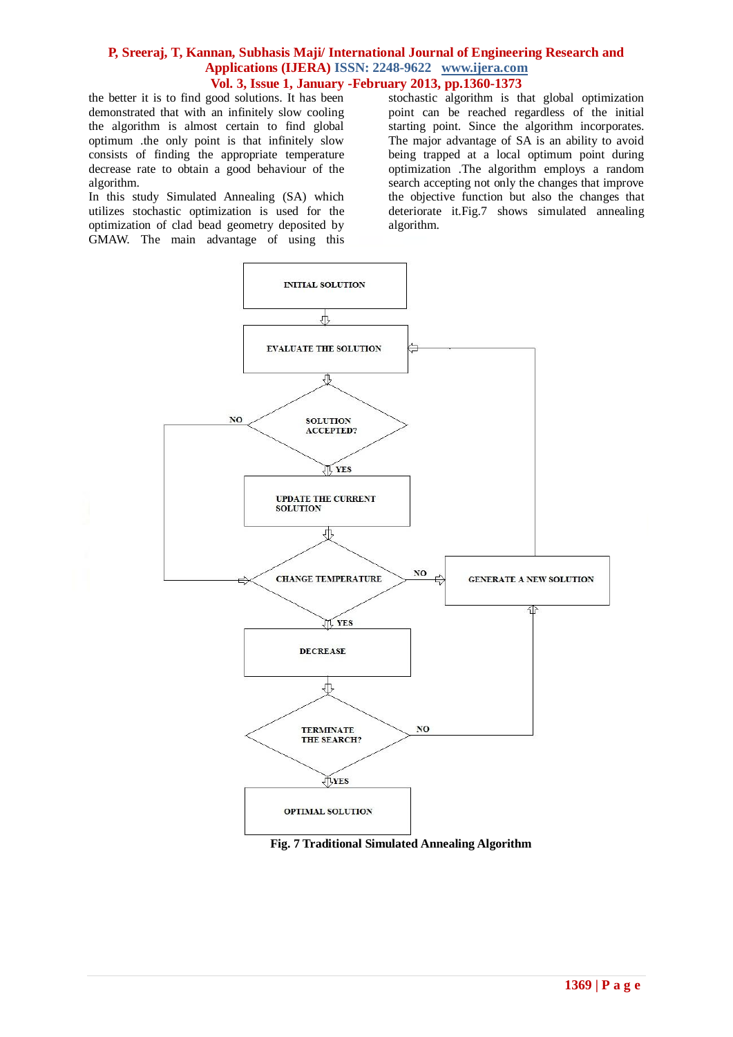the better it is to find good solutions. It has been demonstrated that with an infinitely slow cooling the algorithm is almost certain to find global optimum .the only point is that infinitely slow consists of finding the appropriate temperature decrease rate to obtain a good behaviour of the algorithm.

In this study Simulated Annealing (SA) which utilizes stochastic optimization is used for the optimization of clad bead geometry deposited by GMAW. The main advantage of using this stochastic algorithm is that global optimization point can be reached regardless of the initial starting point. Since the algorithm incorporates. The major advantage of SA is an ability to avoid being trapped at a local optimum point during optimization .The algorithm employs a random search accepting not only the changes that improve the objective function but also the changes that deteriorate it.Fig.7 shows simulated annealing algorithm.



 **Fig. 7 Traditional Simulated Annealing Algorithm**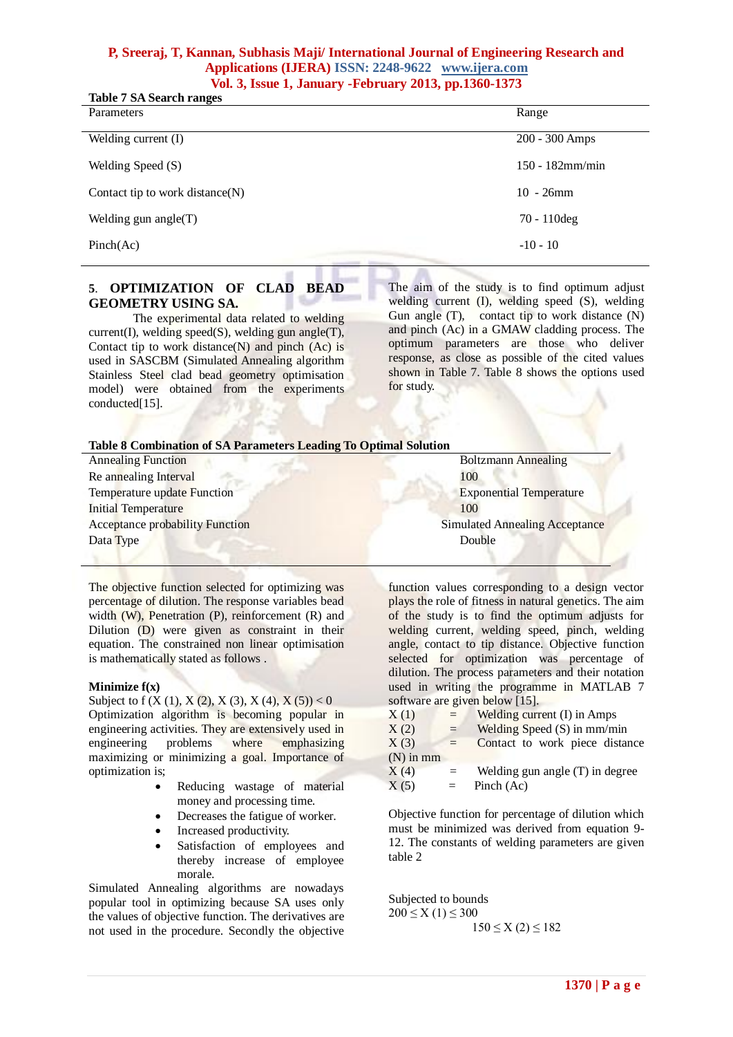| <b>Table 7 SA Search ranges</b>    |                    |
|------------------------------------|--------------------|
| Parameters                         | Range              |
| Welding current (I)                | 200 - 300 Amps     |
| Welding Speed (S)                  | $150 - 182$ mm/min |
| Contact tip to work distance $(N)$ | $10 - 26$ mm       |
| Welding gun angle $(T)$            | $70 - 110$ deg     |
| Pinch(Ac)                          | $-10 - 10$         |

## **5**. **OPTIMIZATION OF CLAD BEAD GEOMETRY USING SA.**

The experimental data related to welding current(I), welding speed(S), welding gun angle(T), Contact tip to work distance $(N)$  and pinch  $(Ac)$  is used in SASCBM (Simulated Annealing algorithm Stainless Steel clad bead geometry optimisation model) were obtained from the experiments conducted<sup>[15]</sup>.

The aim of the study is to find optimum adjust welding current (I), welding speed (S), welding Gun angle (T), contact tip to work distance (N) and pinch (Ac) in a GMAW cladding process. The optimum parameters are those who deliver response, as close as possible of the cited values shown in Table 7. Table 8 shows the options used for study.

| Table 8 Combination of SA Parameters Leading To Optimal Solution |                                       |
|------------------------------------------------------------------|---------------------------------------|
| <b>Annealing Function</b>                                        | <b>Boltzmann</b> Annealing            |
| Re annealing Interval                                            | 100                                   |
| Temperature update Function                                      | <b>Exponential Temperature</b>        |
| <b>Initial Temperature</b>                                       | 100                                   |
| <b>Acceptance probability Function</b>                           | <b>Simulated Annealing Acceptance</b> |
| Data Type                                                        | Double                                |
|                                                                  |                                       |

The objective function selected for optimizing was percentage of dilution. The response variables bead width (W), Penetration (P), reinforcement (R) and Dilution (D) were given as constraint in their equation. The constrained non linear optimisation is mathematically stated as follows .

#### **Minimize f(x)**

Subject to f  $(X (1), X (2), X (3), X (4), X (5)) < 0$ Optimization algorithm is becoming popular in engineering activities. They are extensively used in engineering problems where emphasizing maximizing or minimizing a goal. Importance of optimization is;

- Reducing wastage of material money and processing time.
- Decreases the fatigue of worker.
- Increased productivity.
- Satisfaction of employees and thereby increase of employee morale.

Simulated Annealing algorithms are nowadays popular tool in optimizing because SA uses only the values of objective function. The derivatives are not used in the procedure. Secondly the objective

function values corresponding to a design vector plays the role of fitness in natural genetics. The aim of the study is to find the optimum adjusts for welding current, welding speed, pinch, welding angle, contact to tip distance. Objective function selected for optimization was percentage of dilution. The process parameters and their notation used in writing the programme in MATLAB 7 software are given below [15].

| X(1)        | $=$ | Welding current (I) in Amps       |
|-------------|-----|-----------------------------------|
| X(2)        | $=$ | Welding Speed $(S)$ in mm/min     |
| X(3)        | $=$ | Contact to work piece distance    |
| $(N)$ in mm |     |                                   |
| X(4)        | $=$ | Welding gun angle $(T)$ in degree |
| X(5)        | $=$ | Pinch (Ac)                        |

Objective function for percentage of dilution which must be minimized was derived from equation 9- 12. The constants of welding parameters are given table 2

Subjected to bounds  $200 \le X(1) \le 300$  $150 \le X(2) \le 182$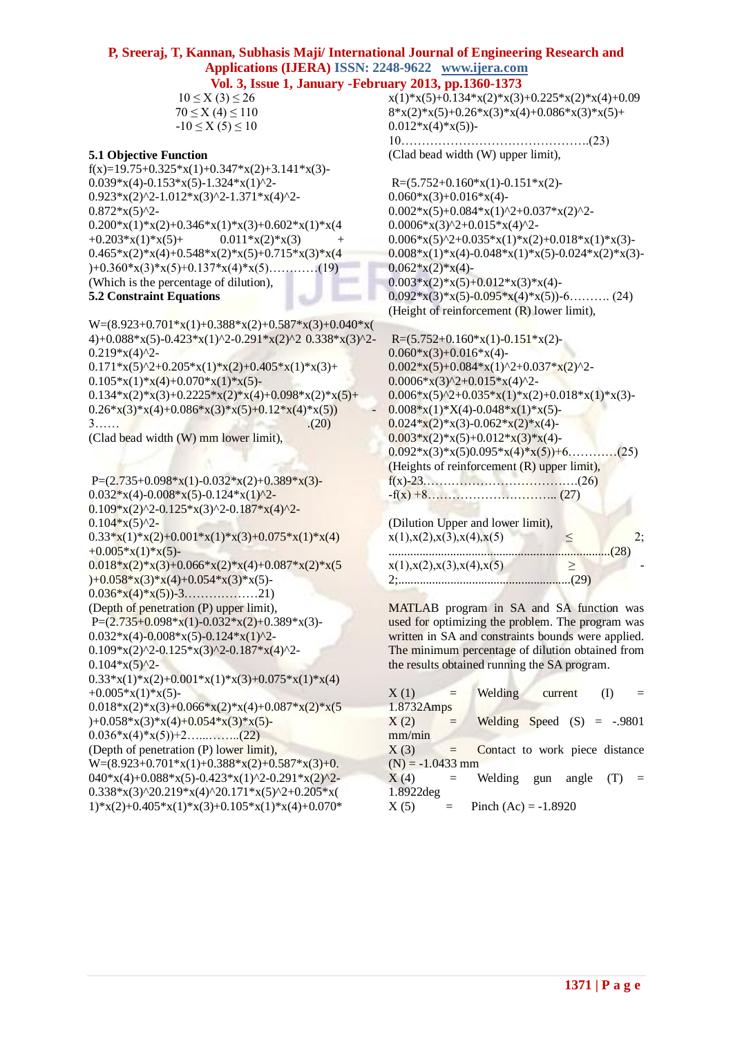$10 \le X(3) \le 26$  $70 \le X (4) \le 110$  $-10 \le X(5) \le 10$ 

#### **5.1 Objective Function**

 $f(x)=19.75+0.325*x(1)+0.347*x(2)+3.141*x(3)$ - $0.039*x(4)-0.153*x(5)-1.324*x(1)^{2}$ - $0.923*x(2)^2-1.012*x(3)^2-1.371*x(4)^2 0.872*x(5)^{2}$ - $0.200*x(1)*x(2)+0.346*x(1)*x(3)+0.602*x(1)*x(4)$  $+0.203*x(1)*x(5)$ +  $0.011*x(2)*x(3)$  $0.465*x(2)*x(4)+0.548*x(2)*x(5)+0.715*x(3)*x(4)$  $)+0.360*x(3)*x(5)+0.137*x(4)*x(5)$ …………(19) (Which is the percentage of dilution), **5.2 Constraint Equations**

#### $W=(8.923+0.701*x(1)+0.388*x(2)+0.587*x(3)+0.040*x($ 4)+0.088\*x(5)-0.423\*x(1)^2-0.291\*x(2)^2 0.338\*x(3)^2- $0.219*x(4)^{2}$ - $0.171* x(5)^2 + 0.205* x(1)*x(2) + 0.405* x(1)*x(3) +$

 $0.105*x(1)*x(4)+0.070*x(1)*x(5)$ - $0.134*x(2)*x(3)+0.2225*x(2)*x(4)+0.098*x(2)*x(5)+$  $0.26*x(3)*x(4)+0.086*x(3)*x(5)+0.12*x(4)*x(5))$  $3...$  . (20) (Clad bead width (W) mm lower limit),

```
P=(2.735+0.098*x(1)-0.032*x(2)+0.389*x(3)-0.032 \times x(4) - 0.008 \times x(5) - 0.124 \times x(1)^{2}0.109*x(2)^2-0.125*x(3)^2-0.187*x(4)^2-0.104*x(5)^{2}-
0.33*<b>x</b>(1)*<b>x</b>(2)+0.001*<b>x</b>(1)*<b>x</b>(3)+0.075*<b>x</b>(1)*<b>x</b>(4)+0.005*x(1)*x(5)-
0.018*x(2)*x(3)+0.066*x(2)*x(4)+0.087*x(2)*x(5))+0.058*x(3)*x(4)+0.054*x(3)*x(5)-0.036*x(4)*x(5)-3............21)(Depth of penetration (P) upper limit),
P=(2.735+0.098*x(1)-0.032*x(2)+0.389*x(3)-0.032*x(4)-0.008*x(5)-0.124*x(1)^{2}-0.109*x(2)^2-0.125*x(3)^2-0.187*x(4)^2-0.104*x(5)^{2}-
0.33*x(1)*x(2)+0.001*x(1)*x(3)+0.075*x(1)*x(4)+0.005*x(1)*x(5)-0.018*x(2)*x(3)+0.066*x(2)*x(4)+0.087*x(2)*x(5))+0.058*x(3)*x(4)+0.054*x(3)*x(5)-0.036*x(4)*x(5)+2……………..(22)
(Depth of penetration (P) lower limit),
W=(8.923+0.701*x(1)+0.388*x(2)+0.587*x(3)+0.040*x(4)+0.088*x(5)-0.423*x(1)^2-0.291*x(2)^2-0.338*x(3)^{2}0.219*x(4)^{2}0.171*x(5)^{2}+0.205*x(1)*x(2)+0.405*x(1)*x(3)+0.105*x(1)*x(4)+0.070*
```
 $x(1)*x(5)+0.134*x(2)*x(3)+0.225*x(2)*x(4)+0.09$  $8*x(2)*x(5)+0.26*x(3)*x(4)+0.086*x(3)*x(5)+$  $0.012*x(4)*x(5)$ 10……………………………………….(23) (Clad bead width (W) upper limit),

 $R=(5.752+0.160*x(1)-0.151*x(2) 0.060*x(3)+0.016*x(4)$  $0.002*x(5)+0.084*x(1)^{2}+0.037*x(2)^{2} 0.0006*x(3)^2+0.015*x(4)^2$ - $0.006*x(5)^2+0.035*x(1)*x(2)+0.018*x(1)*x(3) 0.008*x(1)*x(4)-0.048*x(1)*x(5)-0.024*x(2)*x(3) 0.062*x(2)*x(4)$ - $0.003*x(2)*x(5)+0.012*x(3)*x(4)$ - $0.092*x(3)*x(5)-0.095*x(4)*x(5))-6$ ……….. (24) (Height of reinforcement (R) lower limit),

 $R=(5.752+0.160*x(1)-0.151*x(2) 0.060*x(3)+0.016*x(4)$ - $0.002*x(5)+0.084*x(1)^2+0.037*x(2)^2$ - $0.0006*x(3)^2+0.015*x(4)^2$ - $0.006*x(5)^2+0.035*x(1)*x(2)+0.018*x(1)*x(3) 0.008*x(1)*X(4)-0.048*x(1)*x(5) 0.024*x(2)*x(3)-0.062*x(2)*x(4)$ - $0.003*x(2)*x(5)+0.012*x(3)*x(4)$ - $0.092*x(3)*x(5)0.095*x(4)*x(5))+6$ …………(25) (Heights of reinforcement (R) upper limit), f(x)-23.……………………………….(26) -f(x) +8………………………….. (27)

| (Dilution Upper and lower limit), |  |  |
|-----------------------------------|--|--|
| x(1),x(2),x(3),x(4),x(5)          |  |  |
|                                   |  |  |
| x(1),x(2),x(3),x(4),x(5)          |  |  |
|                                   |  |  |

MATLAB program in SA and SA function was used for optimizing the problem. The program was written in SA and constraints bounds were applied. The minimum percentage of dilution obtained from the results obtained running the SA program.

| X(1)               |     | Welding                        | current | $\rm(L)$ |     |
|--------------------|-----|--------------------------------|---------|----------|-----|
| 1.8732Amps         |     |                                |         |          |     |
| X(2)               | $=$ | Welding Speed $(S) = -.9801$   |         |          |     |
| mm/min             |     |                                |         |          |     |
| X(3)               | $=$ | Contact to work piece distance |         |          |     |
| $(N) = -1.0433$ mm |     |                                |         |          |     |
| X(4)               | $=$ | Welding gun angle              |         | (T)      | $=$ |
| 1.8922deg          |     |                                |         |          |     |
| X(5)               | $=$ | Pinch $(Ac) = -1.8920$         |         |          |     |
|                    |     |                                |         |          |     |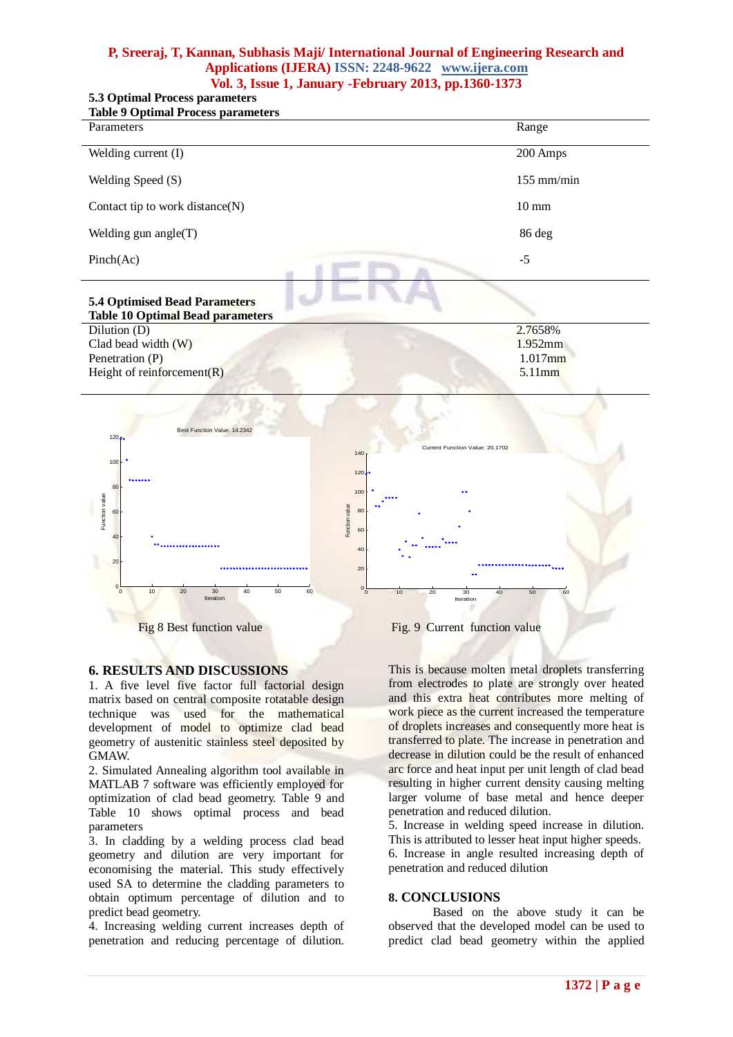# **5.3 Optimal Process parameters**

| <b>Table 9 Optimal Process parameters</b> |                 |
|-------------------------------------------|-----------------|
| Parameters                                | Range           |
|                                           |                 |
| Welding current (I)                       | 200 Amps        |
| Welding Speed (S)                         | $155$ mm/min    |
|                                           |                 |
| Contact tip to work distance $(N)$        | $10 \text{ mm}$ |
| Welding gun angle $(T)$                   | 86 deg          |
|                                           |                 |
| Pinch(Ac)                                 | $-5$            |
|                                           |                 |
| <b>5.4 Optimised Bead Parameters</b>      |                 |
| <b>Table 10 Optimal Bead parameters</b>   |                 |
| Dilution (D)                              | 2.7658%         |
| Clad bead width (W)                       | $1.952$ mm      |
| Penetration (P)                           | $1.017$ mm      |

Penetration (P) Height of reinforcement(R)



#### **6. RESULTS AND DISCUSSIONS**

1. A five level five factor full factorial design matrix based on central composite rotatable design technique was used for the mathematical development of model to optimize clad bead geometry of austenitic stainless steel deposited by GMAW.

2. Simulated Annealing algorithm tool available in MATLAB 7 software was efficiently employed for optimization of clad bead geometry. Table 9 and Table 10 shows optimal process and bead parameters

3. In cladding by a welding process clad bead geometry and dilution are very important for economising the material. This study effectively used SA to determine the cladding parameters to obtain optimum percentage of dilution and to predict bead geometry.

4. Increasing welding current increases depth of penetration and reducing percentage of dilution.

This is because molten metal droplets transferring from electrodes to plate are strongly over heated and this extra heat contributes more melting of work piece as the current increased the temperature of droplets increases and consequently more heat is transferred to plate. The increase in penetration and decrease in dilution could be the result of enhanced arc force and heat input per unit length of clad bead resulting in higher current density causing melting larger volume of base metal and hence deeper penetration and reduced dilution.

5.11mm

5. Increase in welding speed increase in dilution. This is attributed to lesser heat input higher speeds. 6. Increase in angle resulted increasing depth of penetration and reduced dilution

#### **8. CONCLUSIONS**

Based on the above study it can be observed that the developed model can be used to predict clad bead geometry within the applied